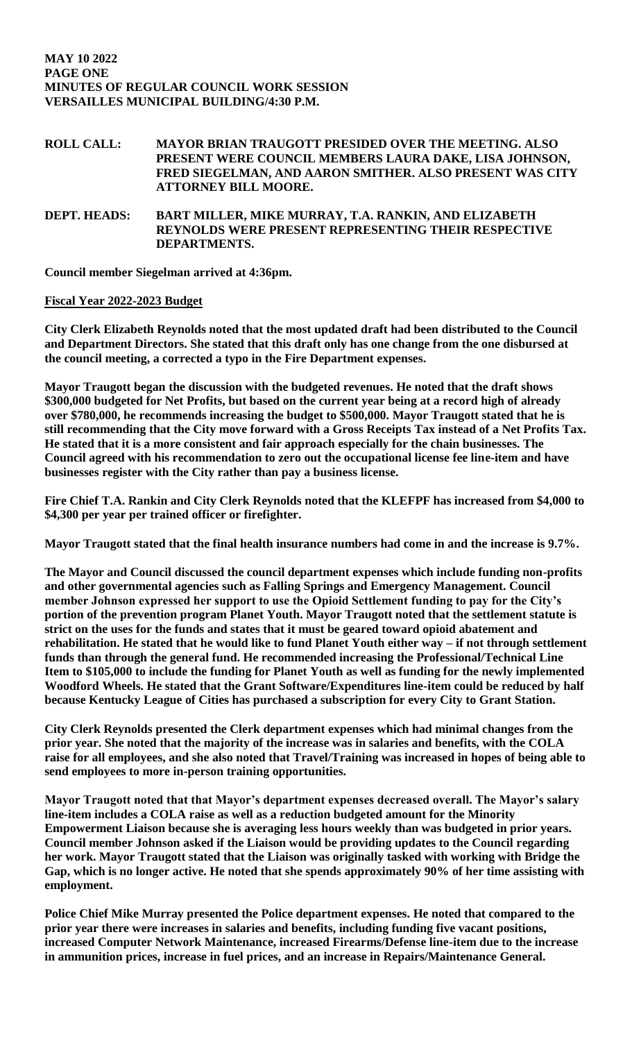**ROLL CALL: MAYOR BRIAN TRAUGOTT PRESIDED OVER THE MEETING. ALSO PRESENT WERE COUNCIL MEMBERS LAURA DAKE, LISA JOHNSON, FRED SIEGELMAN, AND AARON SMITHER. ALSO PRESENT WAS CITY ATTORNEY BILL MOORE.**

**DEPT. HEADS: BART MILLER, MIKE MURRAY, T.A. RANKIN, AND ELIZABETH REYNOLDS WERE PRESENT REPRESENTING THEIR RESPECTIVE DEPARTMENTS.** 

**Council member Siegelman arrived at 4:36pm.** 

## **Fiscal Year 2022-2023 Budget**

**City Clerk Elizabeth Reynolds noted that the most updated draft had been distributed to the Council and Department Directors. She stated that this draft only has one change from the one disbursed at the council meeting, a corrected a typo in the Fire Department expenses.** 

**Mayor Traugott began the discussion with the budgeted revenues. He noted that the draft shows \$300,000 budgeted for Net Profits, but based on the current year being at a record high of already over \$780,000, he recommends increasing the budget to \$500,000. Mayor Traugott stated that he is still recommending that the City move forward with a Gross Receipts Tax instead of a Net Profits Tax. He stated that it is a more consistent and fair approach especially for the chain businesses. The Council agreed with his recommendation to zero out the occupational license fee line-item and have businesses register with the City rather than pay a business license.** 

**Fire Chief T.A. Rankin and City Clerk Reynolds noted that the KLEFPF has increased from \$4,000 to \$4,300 per year per trained officer or firefighter.** 

**Mayor Traugott stated that the final health insurance numbers had come in and the increase is 9.7%.** 

**The Mayor and Council discussed the council department expenses which include funding non-profits and other governmental agencies such as Falling Springs and Emergency Management. Council member Johnson expressed her support to use the Opioid Settlement funding to pay for the City's portion of the prevention program Planet Youth. Mayor Traugott noted that the settlement statute is strict on the uses for the funds and states that it must be geared toward opioid abatement and rehabilitation. He stated that he would like to fund Planet Youth either way – if not through settlement funds than through the general fund. He recommended increasing the Professional/Technical Line Item to \$105,000 to include the funding for Planet Youth as well as funding for the newly implemented Woodford Wheels. He stated that the Grant Software/Expenditures line-item could be reduced by half because Kentucky League of Cities has purchased a subscription for every City to Grant Station.** 

**City Clerk Reynolds presented the Clerk department expenses which had minimal changes from the prior year. She noted that the majority of the increase was in salaries and benefits, with the COLA raise for all employees, and she also noted that Travel/Training was increased in hopes of being able to send employees to more in-person training opportunities.** 

**Mayor Traugott noted that that Mayor's department expenses decreased overall. The Mayor's salary line-item includes a COLA raise as well as a reduction budgeted amount for the Minority Empowerment Liaison because she is averaging less hours weekly than was budgeted in prior years. Council member Johnson asked if the Liaison would be providing updates to the Council regarding her work. Mayor Traugott stated that the Liaison was originally tasked with working with Bridge the Gap, which is no longer active. He noted that she spends approximately 90% of her time assisting with employment.**

**Police Chief Mike Murray presented the Police department expenses. He noted that compared to the prior year there were increases in salaries and benefits, including funding five vacant positions, increased Computer Network Maintenance, increased Firearms/Defense line-item due to the increase in ammunition prices, increase in fuel prices, and an increase in Repairs/Maintenance General.**